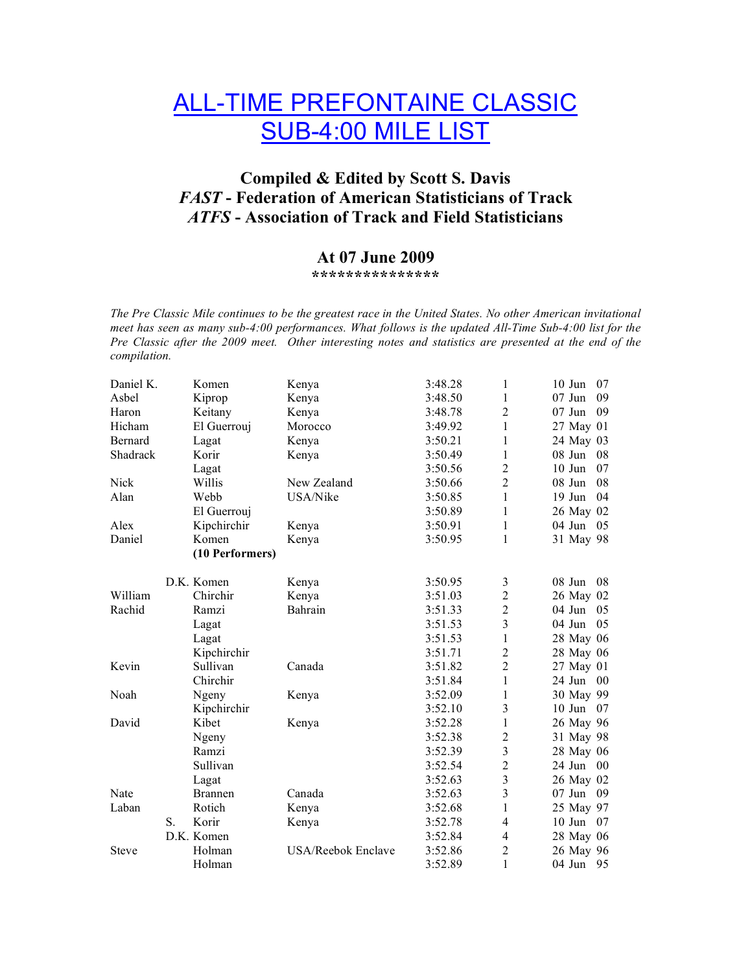# ALL-TIME PREFONTAINE CLASSIC SUB-4:00 MILE LIST

### **Compiled & Edited by Scott S. Davis** *FAST* **- Federation of American Statisticians of Track** *ATFS* **- Association of Track and Field Statisticians**

## **At 07 June 2009**

**\*\*\*\*\*\*\*\*\*\*\*\*\*\*\***

*The Pre Classic Mile continues to be the greatest race in the United States. No other American invitational meet has seen as many sub-4:00 performances. What follows is the updated All-Time Sub-4:00 list for the Pre Classic after the 2009 meet. Other interesting notes and statistics are presented at the end of the compilation.*

| Daniel K.    |    | Komen           | Kenya              | 3:48.28 | 1                       | $10$ Jun<br>07           |
|--------------|----|-----------------|--------------------|---------|-------------------------|--------------------------|
| Asbel        |    | Kiprop          | Kenya              | 3:48.50 | 1                       | $07$ Jun<br>09           |
| Haron        |    | Keitany         | Kenya              | 3:48.78 | $\overline{2}$          | $07$ Jun<br>09           |
| Hicham       |    | El Guerrouj     | Morocco            | 3:49.92 | 1                       | 27 May 01                |
| Bernard      |    | Lagat           | Kenya              | 3:50.21 | 1                       | 24 May 03                |
| Shadrack     |    | Korir           | Kenya              | 3:50.49 | 1                       | 08 Jun<br>08             |
|              |    | Lagat           |                    | 3:50.56 | $\overline{2}$          | $10$ Jun<br>07           |
| <b>Nick</b>  |    | Willis          | New Zealand        | 3:50.66 | $\overline{2}$          | 08 Jun<br>08             |
| Alan         |    | Webb            | USA/Nike           | 3:50.85 | $\mathbf{1}$            | $19$ Jun<br>04           |
|              |    | El Guerrouj     |                    | 3:50.89 | 1                       | 26 May 02                |
| Alex         |    | Kipchirchir     | Kenya              | 3:50.91 | 1                       | $04$ Jun<br>05           |
| Daniel       |    | Komen           | Kenya              | 3:50.95 | 1                       | 31 May 98                |
|              |    | (10 Performers) |                    |         |                         |                          |
|              |    | D.K. Komen      | Kenya              | 3:50.95 | 3                       | $08$ Jun<br>08           |
| William      |    | Chirchir        | Kenya              | 3:51.03 | $\overline{2}$          | 26 May 02                |
| Rachid       |    | Ramzi           | Bahrain            | 3:51.33 | $\overline{2}$          | $04$ Jun<br>05           |
|              |    | Lagat           |                    | 3:51.53 | $\overline{3}$          | 04 Jun<br>05             |
|              |    | Lagat           |                    | 3:51.53 | $\mathbf{1}$            | 28 May 06                |
|              |    | Kipchirchir     |                    | 3:51.71 | $\overline{2}$          | 28 May 06                |
| Kevin        |    | Sullivan        | Canada             | 3:51.82 | $\overline{2}$          | 27 May 01                |
|              |    | Chirchir        |                    | 3:51.84 | $\mathbf{1}$            | 24 Jun<br>0 <sup>0</sup> |
| Noah         |    | Ngeny           | Kenya              | 3:52.09 | 1                       | 30 May 99                |
|              |    | Kipchirchir     |                    | 3:52.10 | 3                       | $10$ Jun<br>07           |
| David        |    | Kibet           | Kenya              | 3:52.28 | 1                       | 26 May 96                |
|              |    | Ngeny           |                    | 3:52.38 | $\overline{c}$          | 31 May 98                |
|              |    | Ramzi           |                    | 3:52.39 | $\overline{\mathbf{3}}$ | 28 May 06                |
|              |    | Sullivan        |                    | 3:52.54 | $\overline{2}$          | 24 Jun<br>$00\,$         |
|              |    | Lagat           |                    | 3:52.63 | $\overline{\mathbf{3}}$ | 26 May 02                |
| Nate         |    | <b>Brannen</b>  | Canada             | 3:52.63 | $\overline{3}$          | $07$ Jun<br>09           |
| Laban        |    | Rotich          | Kenya              | 3:52.68 | $\mathbf{1}$            | 25 May 97                |
|              | S. | Korir           | Kenya              | 3:52.78 | 4                       | $10$ Jun<br>07           |
|              |    | D.K. Komen      |                    | 3:52.84 | 4                       | 28 May 06                |
| <b>Steve</b> |    | Holman          | USA/Reebok Enclave | 3:52.86 | $\overline{2}$          | 26 May 96                |
|              |    | Holman          |                    | 3:52.89 | $\mathbf{1}$            | 04 Jun<br>95             |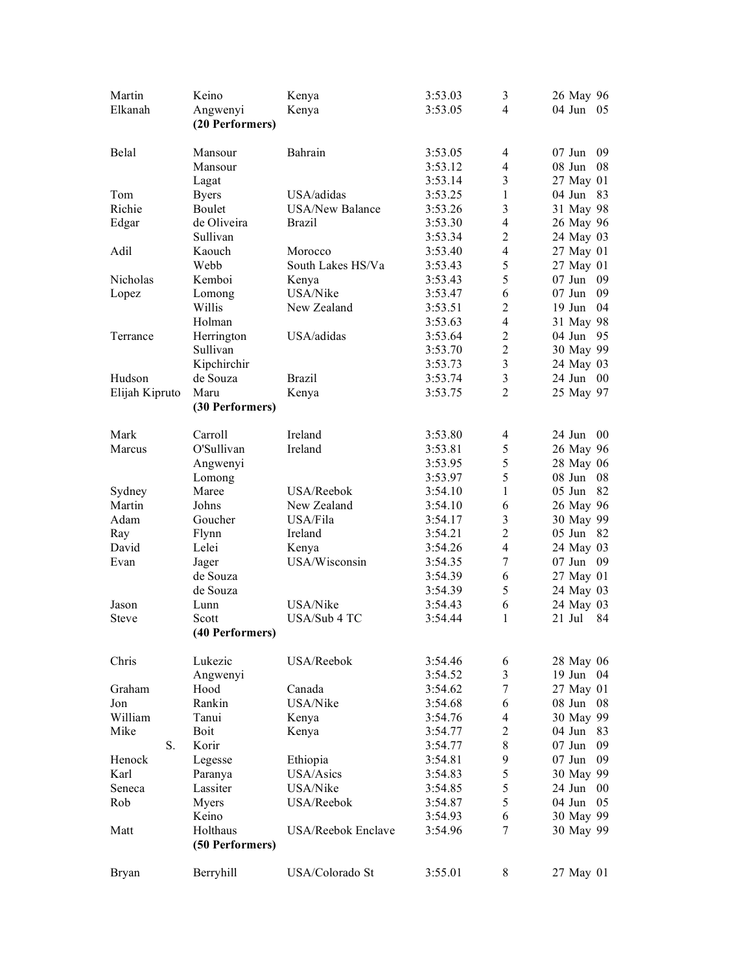| Martin<br>Elkanah | Keino                       | Kenya                  | 3:53.03 | 3<br>$\overline{4}$     | 26 May 96                 |
|-------------------|-----------------------------|------------------------|---------|-------------------------|---------------------------|
|                   | Angwenyi<br>(20 Performers) | Kenya                  | 3:53.05 |                         | 04 Jun<br>05              |
| Belal             | Mansour                     | Bahrain                | 3:53.05 | $\overline{4}$          | $07$ Jun<br>09            |
|                   | Mansour                     |                        | 3:53.12 | $\overline{4}$          | 08 Jun<br>08              |
|                   | Lagat                       |                        | 3:53.14 | $\overline{\mathbf{3}}$ | 27 May 01                 |
| Tom               | <b>Byers</b>                | USA/adidas             | 3:53.25 | $\mathbf{1}$            | 83<br>$04$ Jun            |
| Richie            | <b>Boulet</b>               | <b>USA/New Balance</b> | 3:53.26 | 3                       | 31 May 98                 |
| Edgar             | de Oliveira                 | <b>Brazil</b>          | 3:53.30 | $\overline{4}$          | 26 May 96                 |
|                   | Sullivan                    |                        | 3:53.34 | $\overline{2}$          | 24 May 03                 |
| Adil              | Kaouch                      | Morocco                | 3:53.40 | $\overline{4}$          | 27 May 01                 |
|                   | Webb                        | South Lakes HS/Va      | 3:53.43 | 5                       | 27 May 01                 |
| Nicholas          | Kemboi                      | Kenya                  | 3:53.43 | 5                       | $07$ Jun<br>09            |
| Lopez             | Lomong                      | USA/Nike               | 3:53.47 | 6                       | 09<br>$07$ Jun            |
|                   | Willis                      | New Zealand            | 3:53.51 | $\overline{2}$          | 04<br>$19$ Jun            |
|                   | Holman                      |                        | 3:53.63 | $\overline{4}$          | 31 May 98                 |
| Terrance          | Herrington                  | USA/adidas             | 3:53.64 | $\sqrt{2}$              | 04 Jun<br>95              |
|                   | Sullivan                    |                        | 3:53.70 | $\overline{c}$          | 30 May 99                 |
|                   | Kipchirchir                 |                        | 3:53.73 | $\mathfrak{Z}$          | 24 May 03                 |
| Hudson            | de Souza                    | <b>Brazil</b>          | 3:53.74 | $\mathfrak{Z}$          | 24 Jun<br>00 <sup>2</sup> |
| Elijah Kipruto    | Maru<br>(30 Performers)     | Kenya                  | 3:53.75 | $\overline{2}$          | 25 May 97                 |
|                   |                             |                        |         |                         |                           |
| Mark              | Carroll                     | Ireland                | 3:53.80 | 4                       | 24 Jun<br>00              |
| Marcus            | O'Sullivan                  | Ireland                | 3:53.81 | 5                       | 26 May 96                 |
|                   | Angwenyi                    |                        | 3:53.95 | 5                       | 28 May 06                 |
|                   | Lomong                      |                        | 3:53.97 | 5                       | $08$ Jun<br>08            |
| Sydney            | Maree                       | USA/Reebok             | 3:54.10 | $\mathbf{1}$            | $05$ Jun<br>82            |
| Martin            | Johns                       | New Zealand            | 3:54.10 | 6                       | 26 May 96                 |
| Adam              | Goucher                     | USA/Fila               | 3:54.17 | $\overline{\mathbf{3}}$ | 30 May 99                 |
| Ray               | Flynn                       | Ireland                | 3:54.21 | $\overline{c}$          | $05$ Jun<br>82            |
| David             | Lelei                       | Kenya                  | 3:54.26 | $\overline{4}$          | 24 May 03                 |
| Evan              | Jager                       | USA/Wisconsin          | 3:54.35 | $\tau$                  | $07$ Jun<br>09            |
|                   | de Souza                    |                        | 3:54.39 | 6                       | 27 May 01                 |
|                   | de Souza                    |                        | 3:54.39 | 5                       | 24 May 03                 |
| Jason             | Lunn                        | USA/Nike               | 3:54.43 | 6                       | 24 May 03                 |
| <b>Steve</b>      | Scott<br>(40 Performers)    | USA/Sub 4 TC           | 3:54.44 | 1                       | $21$ Jul<br>84            |
| Chris             | Lukezic                     | USA/Reebok             | 3:54.46 | 6                       | 28 May 06                 |
|                   | Angwenyi                    |                        | 3:54.52 | 3                       | $19$ Jun<br>04            |
| Graham            | Hood                        | Canada                 | 3:54.62 | $\tau$                  | 27 May 01                 |
| Jon               | Rankin                      | USA/Nike               | 3:54.68 | 6                       | 08 Jun<br>08              |
| William           | Tanui                       | Kenya                  | 3:54.76 | 4                       | 30 May 99                 |
| Mike              | <b>Boit</b>                 | Kenya                  | 3:54.77 | $\overline{2}$          | $04$ Jun<br>83            |
| S.                | Korir                       |                        | 3:54.77 | 8                       | $07$ Jun<br>09            |
| Henock            | Legesse                     | Ethiopia               | 3:54.81 | 9                       | $07$ Jun<br>09            |
| Karl              | Paranya                     | USA/Asics              | 3:54.83 | 5                       | 30 May 99                 |
| Seneca            | Lassiter                    | USA/Nike               | 3:54.85 | 5                       | 24 Jun<br>$00\,$          |
| Rob               | Myers                       | USA/Reebok             | 3:54.87 | 5                       | 04 Jun<br>05              |
|                   | Keino                       |                        | 3:54.93 | 6                       | 30 May 99                 |
| Matt              | Holthaus                    | USA/Reebok Enclave     | 3:54.96 | 7                       | 30 May 99                 |
|                   | (50 Performers)             |                        |         |                         |                           |
| Bryan             | Berryhill                   | USA/Colorado St        | 3:55.01 | 8                       | 27 May 01                 |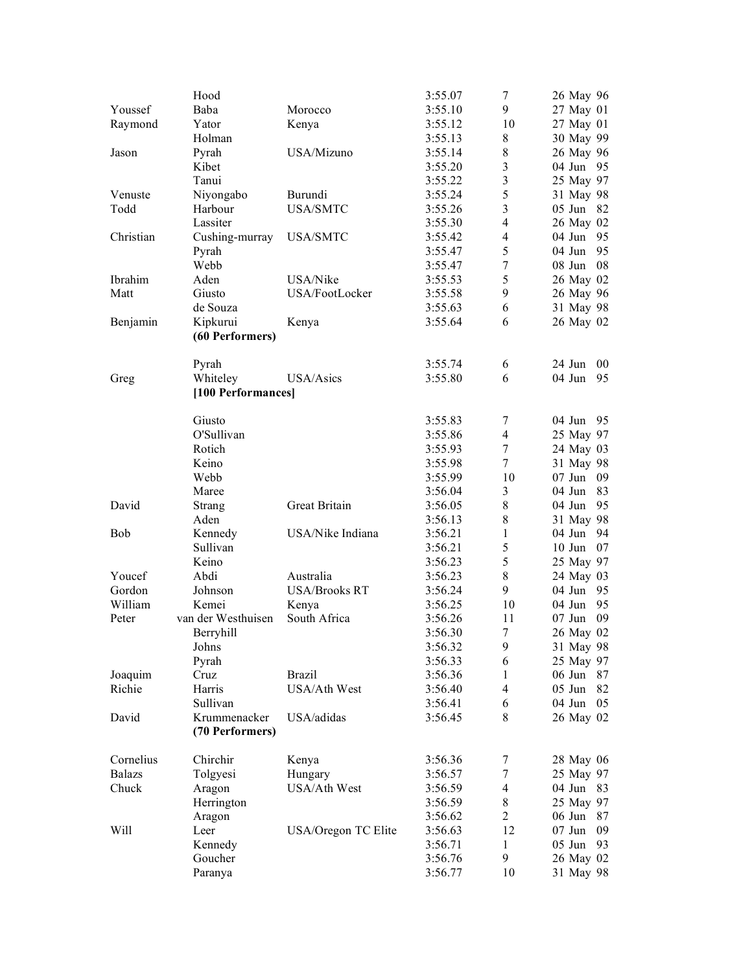|                | Hood               |                      | 3:55.07 | 7              | 26 May 96          |
|----------------|--------------------|----------------------|---------|----------------|--------------------|
| Youssef        | Baba               | Morocco              | 3:55.10 | 9              | 27 May 01          |
| Raymond        | Yator              | Kenya                | 3:55.12 | 10             | 27 May 01          |
|                | Holman             |                      | 3:55.13 | 8              | 30 May 99          |
| Jason          | Pyrah              | USA/Mizuno           | 3:55.14 | $\,8$          | 26 May 96          |
|                | Kibet              |                      | 3:55.20 | 3              | 04 Jun<br>95       |
|                | Tanui              |                      | 3:55.22 | $\mathfrak{Z}$ | 25 May 97          |
| Venuste        | Niyongabo          | Burundi              | 3:55.24 | 5              | 31 May 98          |
| Todd           | Harbour            | <b>USA/SMTC</b>      | 3:55.26 | $\overline{3}$ | $05$ Jun<br>82     |
|                | Lassiter           |                      | 3:55.30 | $\overline{4}$ | 26 May 02          |
| Christian      | Cushing-murray     | <b>USA/SMTC</b>      | 3:55.42 | $\overline{4}$ | $04$ Jun<br>95     |
|                | Pyrah              |                      | 3:55.47 | 5              | 04 Jun<br>95       |
|                | Webb               |                      | 3:55.47 | $\tau$         | 08<br>$08$ Jun     |
| <b>Ibrahim</b> | Aden               | USA/Nike             | 3:55.53 | 5              | 26 May 02          |
| Matt           | Giusto             | USA/FootLocker       | 3:55.58 | 9              | 26 May 96          |
|                | de Souza           |                      | 3:55.63 | 6              | 31 May 98          |
| Benjamin       | Kipkurui           | Kenya                | 3:55.64 | 6              | 26 May 02          |
|                | (60 Performers)    |                      |         |                |                    |
|                | Pyrah              |                      | 3:55.74 | 6              | $24$ Jun<br>$00\,$ |
|                | Whiteley           | USA/Asics            | 3:55.80 | 6              | 04 Jun<br>95       |
| Greg           | [100 Performances] |                      |         |                |                    |
|                |                    |                      |         |                |                    |
|                | Giusto             |                      | 3:55.83 | 7              | 04 Jun<br>95       |
|                | O'Sullivan         |                      | 3:55.86 | $\overline{4}$ | 25 May 97          |
|                | Rotich             |                      | 3:55.93 | $\tau$         | 24 May 03          |
|                | Keino              |                      | 3:55.98 | $\tau$         | 31 May 98          |
|                | Webb               |                      | 3:55.99 | 10             | $07$ Jun<br>09     |
|                | Maree              |                      | 3:56.04 | 3              | 83<br>$04$ Jun     |
| David          | Strang             | Great Britain        | 3:56.05 | 8              | 95<br>$04$ Jun     |
|                | Aden               |                      | 3:56.13 | 8              | 31 May 98          |
| <b>Bob</b>     | Kennedy            | USA/Nike Indiana     | 3:56.21 | 1              | $04$ Jun<br>94     |
|                | Sullivan           |                      | 3:56.21 | 5              | $10$ Jun<br>07     |
|                | Keino              |                      | 3:56.23 | 5              | 25 May 97          |
| Youcef         | Abdi               | Australia            | 3:56.23 | 8              | 24 May 03          |
| Gordon         | Johnson            | <b>USA/Brooks RT</b> | 3:56.24 | 9              | 04 Jun<br>95       |
| William        | Kemei              | Kenya                | 3:56.25 | 10             | 95<br>04 Jun       |
| Peter          | van der Westhuisen | South Africa         | 3:56.26 | 11             | $07$ Jun<br>09     |
|                | Berryhill          |                      | 3:56.30 | $\tau$         | 26 May 02          |
|                | Johns              |                      | 3:56.32 | 9              | 31 May 98          |
|                | Pyrah              |                      | 3:56.33 | 6              | 25 May 97          |
| Joaquim        | Cruz               | <b>Brazil</b>        | 3:56.36 | 1              | $06$ Jun<br>87     |
| Richie         | Harris             | <b>USA/Ath West</b>  | 3:56.40 | $\overline{4}$ | $05$ Jun<br>82     |
|                | Sullivan           |                      | 3:56.41 | 6              | 04 Jun<br>05       |
| David          | Krummenacker       | USA/adidas           | 3:56.45 | 8              | 26 May 02          |
|                | (70 Performers)    |                      |         |                |                    |
| Cornelius      | Chirchir           | Kenya                | 3:56.36 | 7              | 28 May 06          |
| <b>Balazs</b>  | Tolgyesi           | Hungary              | 3:56.57 | $\tau$         | 25 May 97          |
| Chuck          | Aragon             | USA/Ath West         | 3:56.59 | 4              | 04 Jun<br>83       |
|                | Herrington         |                      | 3:56.59 | $8\,$          | 25 May 97          |
|                | Aragon             |                      | 3:56.62 | $\overline{c}$ | $06$ Jun<br>87     |
| Will           | Leer               | USA/Oregon TC Elite  | 3:56.63 | 12             | $07$ Jun<br>09     |
|                | Kennedy            |                      | 3:56.71 | 1              | $05$ Jun<br>93     |
|                | Goucher            |                      | 3:56.76 | 9              | 26 May 02          |
|                | Paranya            |                      | 3:56.77 | 10             | 31 May 98          |
|                |                    |                      |         |                |                    |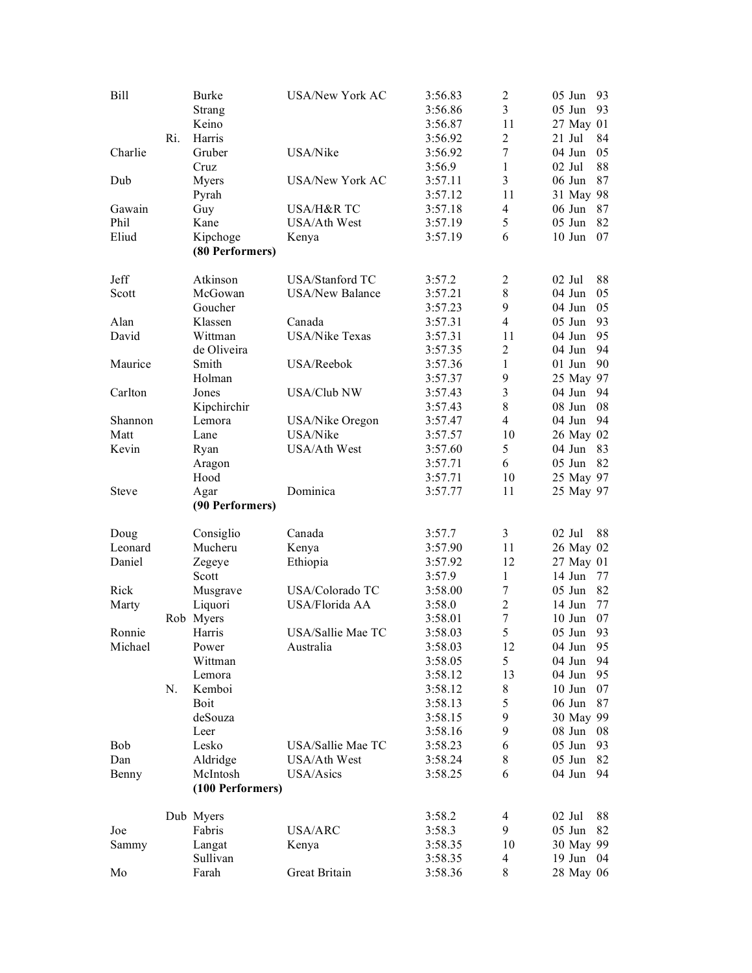| Bill         | Ri. | <b>Burke</b><br>Strang<br>Keino<br>Harris | <b>USA/New York AC</b> | 3:56.83<br>3:56.86<br>3:56.87<br>3:56.92 | $\overline{2}$<br>3<br>11<br>$\overline{2}$ | $05$ Jun<br>05 Jun<br>27 May 01<br>21 Jul | 93<br>93<br>84 |
|--------------|-----|-------------------------------------------|------------------------|------------------------------------------|---------------------------------------------|-------------------------------------------|----------------|
| Charlie      |     | Gruber<br>Cruz                            | USA/Nike               | 3:56.92<br>3:56.9                        | $\tau$<br>$\mathbf{1}$                      | 04 Jun<br>$02$ Jul                        | 05<br>88       |
| Dub          |     | Myers<br>Pyrah                            | <b>USA/New York AC</b> | 3:57.11<br>3:57.12                       | 3<br>11                                     | $06$ Jun<br>31 May 98                     | 87             |
| Gawain       |     | Guy                                       | USA/H&R TC             | 3:57.18                                  | $\overline{4}$                              | $06$ Jun                                  | 87             |
| Phil         |     | Kane                                      | USA/Ath West           | 3:57.19                                  | 5                                           | $05$ Jun                                  | 82             |
| Eliud        |     | Kipchoge                                  | Kenya                  | 3:57.19                                  | 6                                           | $10$ Jun                                  | 07             |
|              |     | (80 Performers)                           |                        |                                          |                                             |                                           |                |
| Jeff         |     | Atkinson                                  | USA/Stanford TC        | 3:57.2                                   | $\overline{c}$                              | $02$ Jul                                  | 88             |
| Scott        |     | McGowan                                   | <b>USA/New Balance</b> | 3:57.21                                  | $\,$ $\,$                                   | 04 Jun                                    | 05             |
|              |     | Goucher                                   |                        | 3:57.23                                  | 9                                           | 04 Jun                                    | 05             |
| Alan         |     | Klassen                                   | Canada                 | 3:57.31                                  | $\overline{4}$                              | $05$ Jun                                  | 93             |
| David        |     | Wittman                                   | <b>USA/Nike Texas</b>  | 3:57.31                                  | 11                                          | $04$ Jun                                  | 95             |
|              |     | de Oliveira                               |                        | 3:57.35                                  | $\overline{2}$                              | 04 Jun                                    | 94             |
| Maurice      |     | Smith                                     | USA/Reebok             | 3:57.36                                  | 1                                           | $01$ Jun                                  | 90             |
|              |     | Holman                                    |                        | 3:57.37                                  | 9                                           | 25 May 97                                 |                |
| Carlton      |     | Jones                                     | <b>USA/Club NW</b>     | 3:57.43                                  | 3                                           | $04$ Jun                                  | 94             |
|              |     | Kipchirchir                               |                        | 3:57.43                                  | 8                                           | 08 Jun                                    | 08             |
| Shannon      |     | Lemora                                    | USA/Nike Oregon        | 3:57.47                                  | $\overline{4}$                              | 04 Jun                                    | 94             |
| Matt         |     | Lane                                      | USA/Nike               | 3:57.57                                  | 10                                          | 26 May 02                                 |                |
| Kevin        |     | Ryan                                      | USA/Ath West           | 3:57.60                                  | 5<br>6                                      | $04$ Jun<br>05 Jun                        | 83<br>82       |
|              |     | Aragon<br>Hood                            |                        | 3:57.71                                  | 10                                          |                                           |                |
| <b>Steve</b> |     |                                           | Dominica               | 3:57.71<br>3:57.77                       | 11                                          | 25 May 97<br>25 May 97                    |                |
|              |     | Agar<br>(90 Performers)                   |                        |                                          |                                             |                                           |                |
| Doug         |     | Consiglio                                 | Canada                 | 3:57.7                                   | 3                                           | $02$ Jul                                  | 88             |
| Leonard      |     | Mucheru                                   | Kenya                  | 3:57.90                                  | 11                                          | 26 May 02                                 |                |
| Daniel       |     | Zegeye                                    | Ethiopia               | 3:57.92                                  | 12                                          | 27 May 01                                 |                |
|              |     | Scott                                     |                        | 3:57.9                                   | 1                                           | $14$ Jun                                  | 77             |
| Rick         |     | Musgrave                                  | USA/Colorado TC        | 3:58.00                                  | 7                                           | $05$ Jun                                  | 82             |
| Marty        |     | Liquori                                   | USA/Florida AA         | 3:58.0                                   | $\overline{2}$                              | $14$ Jun                                  | 77             |
|              | Rob | Myers                                     |                        | 3:58.01                                  | $\boldsymbol{7}$                            | $10$ Jun                                  | 07             |
| Ronnie       |     | Harris                                    | USA/Sallie Mae TC      | 3:58.03                                  | 5                                           | $05$ Jun                                  | 93             |
| Michael      |     | Power                                     | Australia              | 3:58.03                                  | 12                                          | 04 Jun                                    | 95             |
|              |     | Wittman                                   |                        | 3:58.05                                  | 5                                           | 04 Jun                                    | 94             |
|              |     | Lemora                                    |                        | 3:58.12                                  | 13                                          | 04 Jun                                    | 95             |
|              | N.  | Kemboi                                    |                        | 3:58.12                                  | 8                                           | $10$ Jun                                  | 07             |
|              |     | <b>Boit</b>                               |                        | 3:58.13                                  | 5                                           | 06 Jun                                    | 87             |
|              |     | deSouza                                   |                        | 3:58.15                                  | 9                                           | 30 May 99                                 |                |
|              |     | Leer                                      |                        | 3:58.16                                  | 9                                           | 08 Jun                                    | 08             |
| Bob          |     | Lesko                                     | USA/Sallie Mae TC      | 3:58.23                                  | 6                                           | $05$ Jun<br>05 Jun                        | 93             |
| Dan          |     | Aldridge                                  | USA/Ath West           | 3:58.24                                  | 8                                           |                                           | 82             |
| Benny        |     | McIntosh<br>(100 Performers)              | USA/Asics              | 3:58.25                                  | 6                                           | 04 Jun                                    | 94             |
|              |     | Dub Myers                                 |                        | 3:58.2                                   | 4                                           | $02$ Jul                                  | 88             |
| Joe          |     | Fabris                                    | USA/ARC                | 3:58.3                                   | 9                                           | $05$ Jun                                  | 82             |
| Sammy        |     |                                           |                        | 3:58.35                                  | 10                                          |                                           |                |
|              |     | Langat                                    | Kenya                  |                                          |                                             | 30 May 99                                 |                |
|              |     | Sullivan                                  |                        | 3:58.35                                  | 4                                           | $19$ Jun                                  | 04             |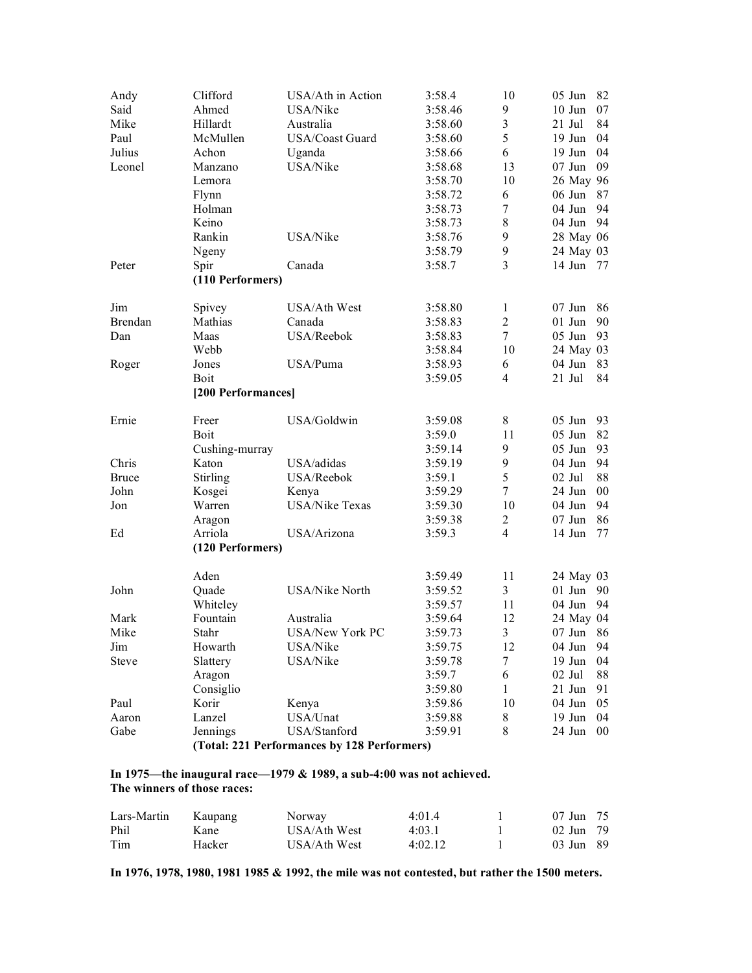| Andy         | Clifford                          | USA/Ath in Action                           | 3:58.4  | 10                       | $05$ Jun<br>82      |
|--------------|-----------------------------------|---------------------------------------------|---------|--------------------------|---------------------|
| Said         | Ahmed                             | USA/Nike                                    | 3:58.46 | 9                        | $10$ Jun<br>07      |
| Mike         | Hillardt                          | Australia                                   | 3:58.60 | 3                        | $21$ Jul<br>84      |
| Paul         | McMullen                          | USA/Coast Guard                             | 3:58.60 | 5                        | 04<br>$19$ Jun      |
| Julius       | Achon                             | Uganda                                      | 3:58.66 | 6                        | 19 Jun<br>04        |
| Leonel       | Manzano                           | USA/Nike                                    | 3:58.68 | 13                       | 09<br>$07$ Jun      |
|              | Lemora                            |                                             | 3:58.70 | 10                       | 26 May 96           |
|              | Flynn                             |                                             | 3:58.72 | 6                        | $06$ Jun<br>87      |
|              | Holman                            |                                             | 3:58.73 | 7                        | 94<br>$04$ Jun      |
|              | Keino                             |                                             | 3:58.73 | 8                        | 94<br>04 Jun        |
|              | Rankin                            | USA/Nike                                    | 3:58.76 | 9                        | 28 May 06           |
|              | Ngeny                             |                                             | 3:58.79 | 9                        | 24 May 03           |
| Peter        | Spir                              | Canada                                      | 3:58.7  | $\overline{3}$           | $14$ Jun<br>77      |
|              | (110 Performers)                  |                                             |         |                          |                     |
| Jim          | Spivey                            | USA/Ath West                                | 3:58.80 | $\mathbf{1}$             | $07$ Jun<br>86      |
| Brendan      | Mathias                           | Canada                                      | 3:58.83 | $\overline{2}$           | $01$ Jun<br>90      |
| Dan          | Maas                              | USA/Reebok                                  | 3:58.83 | $\tau$                   | $05$ Jun<br>93      |
|              | Webb                              |                                             |         | 10                       |                     |
|              |                                   |                                             | 3:58.84 |                          | 24 May 03<br>04 Jun |
| Roger        | Jones                             | USA/Puma                                    | 3:58.93 | 6                        | 83                  |
|              | <b>Boit</b><br>[200 Performances] |                                             | 3:59.05 | $\overline{\mathcal{A}}$ | 84<br>21 Jul        |
|              |                                   |                                             |         |                          |                     |
| Ernie        | Freer                             | USA/Goldwin                                 | 3:59.08 | 8                        | $05$ Jun<br>93      |
|              | Boit                              |                                             | 3:59.0  | 11                       | 05 Jun<br>82        |
|              | Cushing-murray                    |                                             | 3:59.14 | 9                        | 05 Jun<br>93        |
| Chris        | Katon                             | USA/adidas                                  | 3:59.19 | 9                        | 04 Jun<br>94        |
| <b>Bruce</b> | Stirling                          | USA/Reebok                                  | 3:59.1  | 5                        | $02$ Jul<br>88      |
| John         | Kosgei                            | Kenya                                       | 3:59.29 | $\tau$                   | 24 Jun<br>$00\,$    |
| Jon          | Warren                            | <b>USA/Nike Texas</b>                       | 3:59.30 | 10                       | 94<br>$04$ Jun      |
|              | Aragon                            |                                             | 3:59.38 | $\overline{c}$           | $07$ Jun<br>86      |
| Ed           | Arriola                           | USA/Arizona                                 | 3:59.3  | $\overline{4}$           | $14$ Jun<br>77      |
|              | (120 Performers)                  |                                             |         |                          |                     |
|              | Aden                              |                                             | 3:59.49 | 11                       | 24 May 03           |
| John         | Quade                             | <b>USA/Nike North</b>                       | 3:59.52 | $\overline{3}$           | $01$ Jun<br>90      |
|              | Whiteley                          |                                             | 3:59.57 | 11                       | 04 Jun<br>94        |
| Mark         | Fountain                          | Australia                                   | 3:59.64 | 12                       | 24 May 04           |
| Mike         | Stahr                             | <b>USA/New York PC</b>                      | 3:59.73 | 3                        | 86<br>$07$ Jun      |
| Jim          | Howarth                           | USA/Nike                                    | 3:59.75 | 12                       | 04 Jun<br>94        |
| <b>Steve</b> | Slattery                          | USA/Nike                                    | 3:59.78 | 7                        | 19 Jun<br>04        |
|              | Aragon                            |                                             | 3:59.7  | 6                        | 02 Jul<br>88        |
|              | Consiglio                         |                                             | 3:59.80 | 1                        | $21$ Jun<br>91      |
| Paul         | Korir                             | Kenya                                       | 3:59.86 | 10                       | 04 Jun<br>05        |
| Aaron        | Lanzel                            | USA/Unat                                    | 3:59.88 | 8                        | $19$ Jun<br>04      |
| Gabe         | Jennings                          | USA/Stanford                                | 3:59.91 | 8                        | 24 Jun<br>$00\,$    |
|              |                                   | (Total: 221 Performances by 128 Performers) |         |                          |                     |

#### **In 1975—the inaugural race—1979 & 1989, a sub-4:00 was not achieved. The winners of those races:**

| Lars-Martin | Kaupang | Norway       | 4.014   | 07 Jun 75 |  |
|-------------|---------|--------------|---------|-----------|--|
| Phil        | Kane    | USA/Ath West | 4:03.1  | 02 Jun 79 |  |
| Tim         | Hacker  | USA/Ath West | 4:02.12 | 03 Jun 89 |  |

**In 1976, 1978, 1980, 1981 1985 & 1992, the mile was not contested, but rather the 1500 meters.**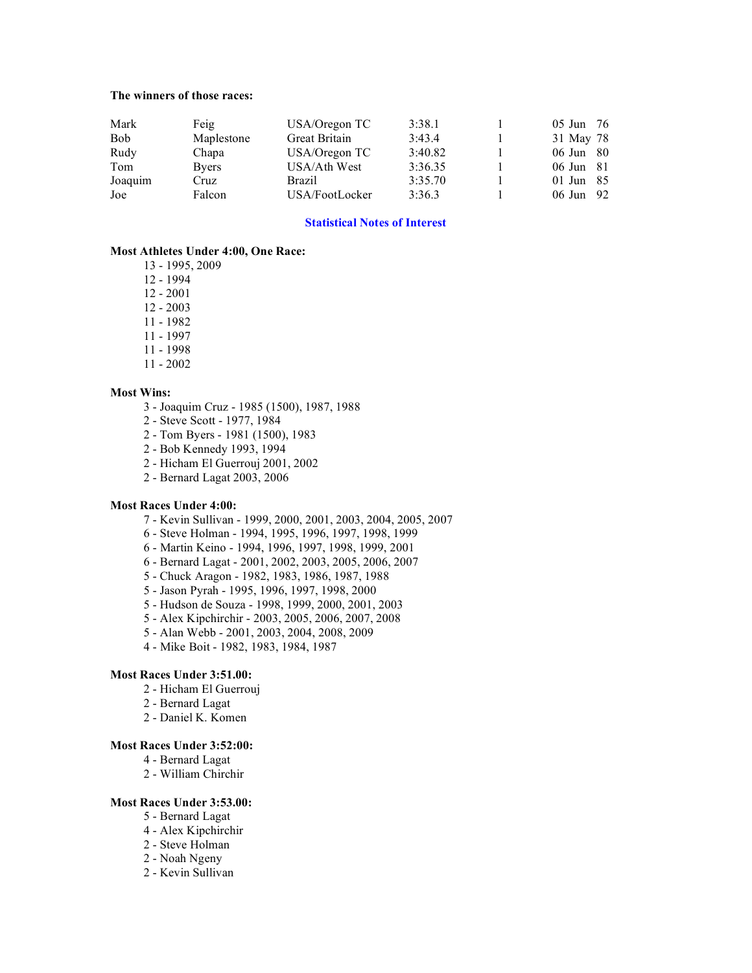#### **The winners of those races:**

| Mark       | Feig         | USA/Oregon TC  | 3:38.1  | $05 \text{ Jun} \quad 76$ |  |
|------------|--------------|----------------|---------|---------------------------|--|
| <b>Bob</b> | Maplestone   | Great Britain  | 3:43.4  | 31 May 78                 |  |
| Rudy       | Chapa        | USA/Oregon TC  | 3:40.82 | 06 Jun 80                 |  |
| Tom        | <b>Byers</b> | USA/Ath West   | 3:36.35 | $06 \text{ Jun} \quad 81$ |  |
| Joaquim    | Cruz         | <b>Brazil</b>  | 3:35.70 | 01 Jun $85$               |  |
| Joe        | Falcon       | USA/FootLocker | 3:36.3  | 06 Jun 92                 |  |

#### **Statistical Notes of Interest**

#### **Most Athletes Under 4:00, One Race:**

13 - 1995, 2009

12 - 1994

- 12 2001
- 12 2003
- 11 1982
- 11 1997
- 11 1998
- 11 2002

#### **Most Wins:**

- 3 Joaquim Cruz 1985 (1500), 1987, 1988
- 2 Steve Scott 1977, 1984
- 2 Tom Byers 1981 (1500), 1983
- 2 Bob Kennedy 1993, 1994
- 2 Hicham El Guerrouj 2001, 2002
- 2 Bernard Lagat 2003, 2006

#### **Most Races Under 4:00:**

- 7 Kevin Sullivan 1999, 2000, 2001, 2003, 2004, 2005, 2007
- 6 Steve Holman 1994, 1995, 1996, 1997, 1998, 1999
- 6 Martin Keino 1994, 1996, 1997, 1998, 1999, 2001
- 6 Bernard Lagat 2001, 2002, 2003, 2005, 2006, 2007
- 5 Chuck Aragon 1982, 1983, 1986, 1987, 1988
- 5 Jason Pyrah 1995, 1996, 1997, 1998, 2000
- 5 Hudson de Souza 1998, 1999, 2000, 2001, 2003
- 5 Alex Kipchirchir 2003, 2005, 2006, 2007, 2008
- 5 Alan Webb 2001, 2003, 2004, 2008, 2009
- 4 Mike Boit 1982, 1983, 1984, 1987

#### **Most Races Under 3:51.00:**

- 2 Hicham El Guerrouj
- 2 Bernard Lagat
- 2 Daniel K. Komen

#### **Most Races Under 3:52:00:**

- 4 Bernard Lagat
- 2 William Chirchir

#### **Most Races Under 3:53.00:**

- 5 Bernard Lagat
- 4 Alex Kipchirchir
- 2 Steve Holman
- 2 Noah Ngeny
- 2 Kevin Sullivan